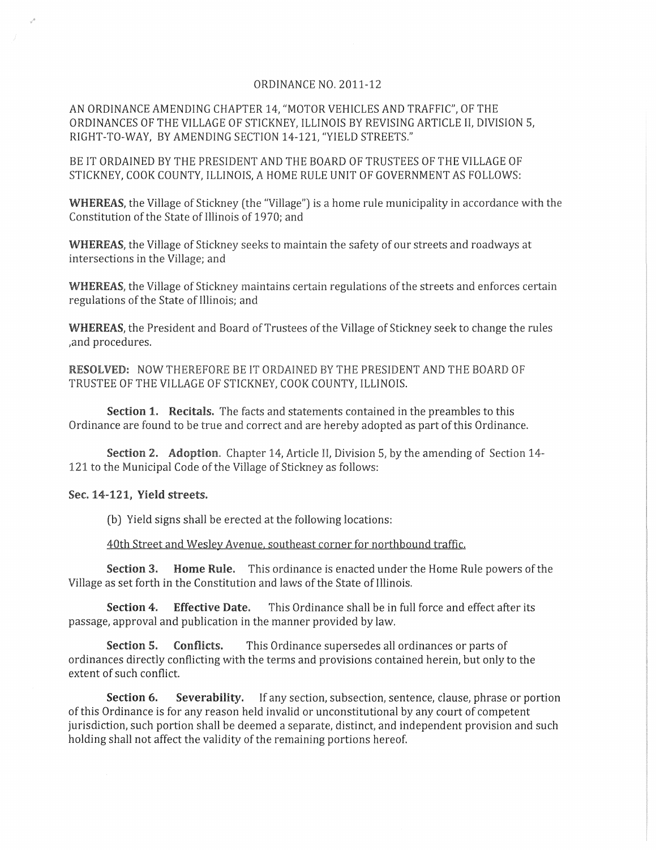## ORDINANCE NO. 2011-12

AN ORDINANCE AMENDING CHAPTER 14, "MOTOR VEHICLES AND TRAFFIC', OF THE ORDINANCES OF THE VILLAGE OF STICKNEY, ILLINOIS BY REVISING ARTICLE II, DIVISION 5, RIGHT-TO-WAY, BY AMENDING SECTION 14-121, "YIELD STREETS."

BE IT ORDAINED BY THE PRESIDENT AND THE BOARD OF TRUSTEES OF THE VILLAGE OF STICKNEY, COOK COUNTY, ILLINOIS, A HOME RULE UNIT OF GOVERNMENT AS FOLLOWS:

**WHEREAS,** the Village of Stickney (the "Village") is a home rule municipality in accordance with the Constitution of the State of Illinois of 1970; and

**WHEREAS,** the Village of Stickney seeks to maintain the safety of our streets and roadways at intersections in the Village; and

**WHEREAS,** the Village of Stickney maintains certain regulations of the streets and enforces certain regulations of the State of Illinois; and

**WHEREAS,** the President and Board of Trustees of the Village of Stickney seek to change the rules ,and procedures.

**RESOLVED:** NOW THEREFORE BE IT ORDAINED BY THE PRESIDENT AND THE BOARD OF TRUSTEE OF THE VILLAGE OF STICKNEY, COOK COUNTY, ILLINOIS.

**Section 1. Recitals.** The facts and statements contained in the preambles to this Ordinance are found to be true and correct and are hereby adopted as part of this Ordinance.

**Section 2. Adoption.** Chapter 14, Article II, Division 5, by the amending of Section 14- 121 to the Municipal Code of the Village of Stickney as follows:

## **Sec. 14-121, Yield streets.**

(b) Yield signs shall be erected at the following locations:

40th Street and Wesley Avenue. southeast corner for northbound traffic.

**Section 3.** Home Rule. This ordinance is enacted under the Home Rule powers of the Village as set forth in the Constitution and laws of the State of Illinois.

**Section 4. Effective Date.** This Ordinance shall be in full force and effect after its passage, approval and publication in the manner provided by law.

**Section 5. Conflicts.** This Ordinance supersedes all ordinances or parts of ordinances directly conflicting with the terms and provisions contained herein, but only to the extent of such conflict.

**Section 6. Severability.** If any section, subsection, sentence, clause, phrase or portion of this Ordinance is for any reason held invalid or unconstitutional by any court of competent jurisdiction, such portion shall be deemed a separate, distinct, and independent provision and such holding shall not affect the validity of the remaining portions hereof.